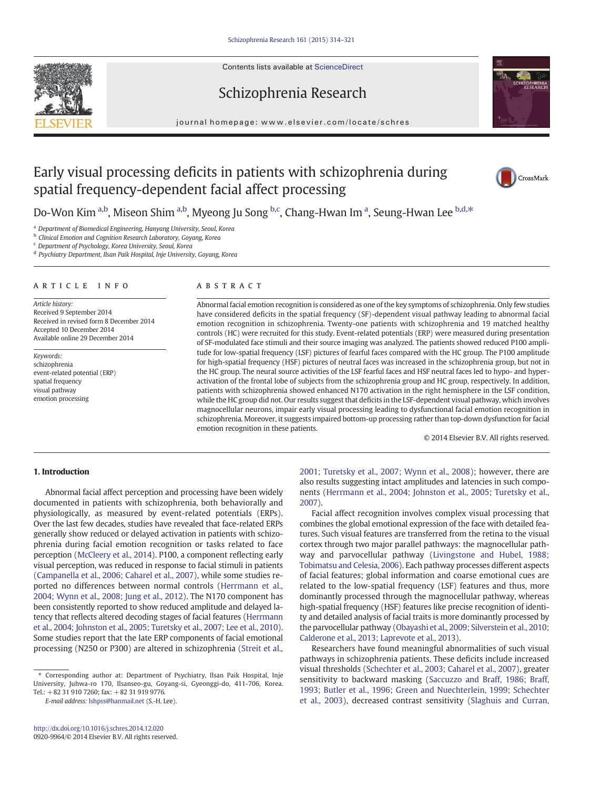Contents lists available at ScienceDirect





journal homepage:<www.elsevier.com/locate/schres>



# Early visual processing deficits in patients with schizophrenia during spatial frequency-dependent facial affect processing



Do-Won Kim <sup>a,b</sup>, Miseon Shim <sup>a,b</sup>, Myeong Ju Song <sup>b,c</sup>, Chang-Hwan Im <sup>a</sup>, Seung-Hwan Lee <sup>b,d,\*</sup>

<sup>a</sup> Department of Biomedical Engineering, Hanyang University, Seoul, Korea

**b** Clinical Emotion and Cognition Research Laboratory, Goyang, Korea

<sup>c</sup> Department of Psychology, Korea University, Seoul, Korea

<sup>d</sup> Psychiatry Department, Ilsan Paik Hospital, Inje University, Goyang, Korea

## article info abstract

Article history: Received 9 September 2014 Received in revised form 8 December 2014 Accepted 10 December 2014 Available online 29 December 2014

Keywords: schizophrenia event-related potential (ERP) spatial frequency visual pathway emotion processing

Abnormal facial emotion recognition is considered as one of the key symptoms of schizophrenia. Only few studies have considered deficits in the spatial frequency (SF)-dependent visual pathway leading to abnormal facial emotion recognition in schizophrenia. Twenty-one patients with schizophrenia and 19 matched healthy controls (HC) were recruited for this study. Event-related potentials (ERP) were measured during presentation of SF-modulated face stimuli and their source imaging was analyzed. The patients showed reduced P100 amplitude for low-spatial frequency (LSF) pictures of fearful faces compared with the HC group. The P100 amplitude for high-spatial frequency (HSF) pictures of neutral faces was increased in the schizophrenia group, but not in the HC group. The neural source activities of the LSF fearful faces and HSF neutral faces led to hypo- and hyperactivation of the frontal lobe of subjects from the schizophrenia group and HC group, respectively. In addition, patients with schizophrenia showed enhanced N170 activation in the right hemisphere in the LSF condition, while the HC group did not. Our results suggest that deficits in the LSF-dependent visual pathway, which involves magnocellular neurons, impair early visual processing leading to dysfunctional facial emotion recognition in schizophrenia. Moreover, it suggests impaired bottom-up processing rather than top-down dysfunction for facial emotion recognition in these patients.

© 2014 Elsevier B.V. All rights reserved.

# 1. Introduction

Abnormal facial affect perception and processing have been widely documented in patients with schizophrenia, both behaviorally and physiologically, as measured by event-related potentials (ERPs). Over the last few decades, studies have revealed that face-related ERPs generally show reduced or delayed activation in patients with schizophrenia during facial emotion recognition or tasks related to face perception ([McCleery et al., 2014\)](#page-7-0). P100, a component reflecting early visual perception, was reduced in response to facial stimuli in patients [\(Campanella et al., 2006; Caharel et al., 2007\)](#page-6-0), while some studies reported no differences between normal controls [\(Herrmann et al.,](#page-6-0) [2004; Wynn et al., 2008; Jung et al., 2012](#page-6-0)). The N170 component has been consistently reported to show reduced amplitude and delayed latency that reflects altered decoding stages of facial features [\(Herrmann](#page-6-0) [et al., 2004; Johnston et al., 2005; Turetsky et al., 2007; Lee et al., 2010\)](#page-6-0). Some studies report that the late ERP components of facial emotional processing (N250 or P300) are altered in schizophrenia [\(Streit et al.,](#page-7-0)

E-mail address: [lshpss@hanmail.net](mailto:lshpss@hanmail.net) (S.-H. Lee).

[2001; Turetsky et al., 2007; Wynn et al., 2008](#page-7-0)); however, there are also results suggesting intact amplitudes and latencies in such components [\(Herrmann et al., 2004; Johnston et al., 2005; Turetsky et al.,](#page-6-0) [2007\)](#page-6-0).

Facial affect recognition involves complex visual processing that combines the global emotional expression of the face with detailed features. Such visual features are transferred from the retina to the visual cortex through two major parallel pathways: the magnocellular pathway and parvocellular pathway ([Livingstone and Hubel, 1988;](#page-7-0) [Tobimatsu and Celesia, 2006](#page-7-0)). Each pathway processes different aspects of facial features; global information and coarse emotional cues are related to the low-spatial frequency (LSF) features and thus, more dominantly processed through the magnocellular pathway, whereas high-spatial frequency (HSF) features like precise recognition of identity and detailed analysis of facial traits is more dominantly processed by the parvocellular pathway ([Obayashi et al., 2009; Silverstein et al., 2010;](#page-7-0) [Calderone et al., 2013; Laprevote et al., 2013\)](#page-7-0).

Researchers have found meaningful abnormalities of such visual pathways in schizophrenia patients. These deficits include increased visual thresholds ([Schechter et al., 2003; Caharel et al., 2007](#page-7-0)), greater sensitivity to backward masking ([Saccuzzo and Braff, 1986; Braff,](#page-7-0) [1993; Butler et al., 1996; Green and Nuechterlein, 1999; Schechter](#page-7-0) [et al., 2003](#page-7-0)), decreased contrast sensitivity ([Slaghuis and Curran,](#page-7-0)

<sup>⁎</sup> Corresponding author at: Department of Psychiatry, Ilsan Paik Hospital, Inje University, Juhwa-ro 170, Ilsanseo-gu, Goyang-si, Gyeonggi-do, 411-706, Korea. Tel.: +82 31 910 7260; fax: +82 31 919 9776.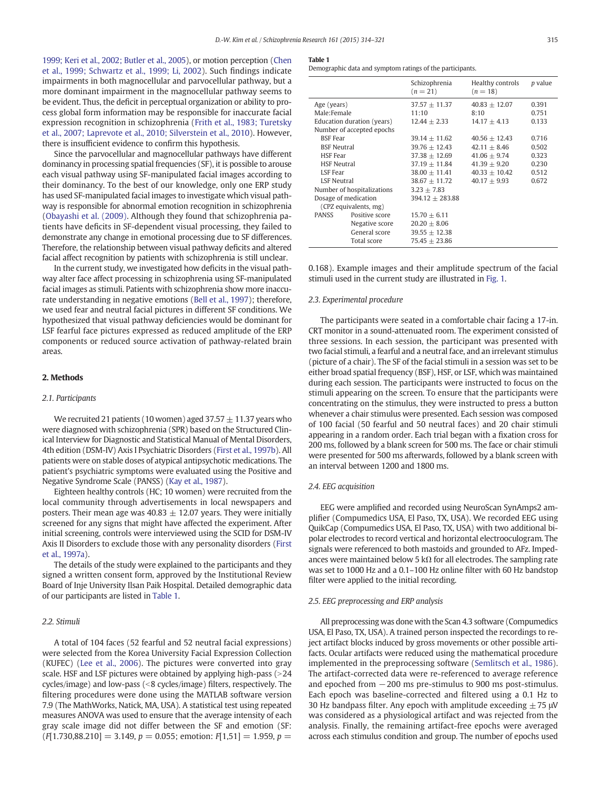<span id="page-1-0"></span>[1999; Keri et al., 2002; Butler et al., 2005](#page-7-0)), or motion perception [\(Chen](#page-6-0) [et al., 1999; Schwartz et al., 1999; Li, 2002\)](#page-6-0). Such findings indicate impairments in both magnocellular and parvocellular pathway, but a more dominant impairment in the magnocellular pathway seems to be evident. Thus, the deficit in perceptual organization or ability to process global form information may be responsible for inaccurate facial expression recognition in schizophrenia [\(Frith et al., 1983; Turetsky](#page-6-0) [et al., 2007; Laprevote et al., 2010; Silverstein et al., 2010](#page-6-0)). However, there is insufficient evidence to confirm this hypothesis.

Since the parvocellular and magnocellular pathways have different dominancy in processing spatial frequencies (SF), it is possible to arouse each visual pathway using SF-manipulated facial images according to their dominancy. To the best of our knowledge, only one ERP study has used SF-manipulated facial images to investigate which visual pathway is responsible for abnormal emotion recognition in schizophrenia [\(Obayashi et al. \(2009\).](#page-7-0) Although they found that schizophrenia patients have deficits in SF-dependent visual processing, they failed to demonstrate any change in emotional processing due to SF differences. Therefore, the relationship between visual pathway deficits and altered facial affect recognition by patients with schizophrenia is still unclear.

In the current study, we investigated how deficits in the visual pathway alter face affect processing in schizophrenia using SF-manipulated facial images as stimuli. Patients with schizophrenia show more inaccurate understanding in negative emotions [\(Bell et al., 1997](#page-6-0)); therefore, we used fear and neutral facial pictures in different SF conditions. We hypothesized that visual pathway deficiencies would be dominant for LSF fearful face pictures expressed as reduced amplitude of the ERP components or reduced source activation of pathway-related brain areas.

#### 2. Methods

#### 2.1. Participants

We recruited 21 patients (10 women) aged 37.57  $\pm$  11.37 years who were diagnosed with schizophrenia (SPR) based on the Structured Clinical Interview for Diagnostic and Statistical Manual of Mental Disorders, 4th edition (DSM-IV) Axis I Psychiatric Disorders [\(First et al., 1997b](#page-6-0)). All patients were on stable doses of atypical antipsychotic medications. The patient's psychiatric symptoms were evaluated using the Positive and Negative Syndrome Scale (PANSS) [\(Kay et al., 1987\)](#page-6-0).

Eighteen healthy controls (HC; 10 women) were recruited from the local community through advertisements in local newspapers and posters. Their mean age was  $40.83 \pm 12.07$  years. They were initially screened for any signs that might have affected the experiment. After initial screening, controls were interviewed using the SCID for DSM-IV Axis II Disorders to exclude those with any personality disorders [\(First](#page-6-0) [et al., 1997a](#page-6-0)).

The details of the study were explained to the participants and they signed a written consent form, approved by the Institutional Review Board of Inje University Ilsan Paik Hospital. Detailed demographic data of our participants are listed in Table 1.

# 2.2. Stimuli

A total of 104 faces (52 fearful and 52 neutral facial expressions) were selected from the Korea University Facial Expression Collection (KUFEC) ([Lee et al., 2006\)](#page-7-0). The pictures were converted into gray scale. HSF and LSF pictures were obtained by applying high-pass (>24 cycles/image) and low-pass  $\left( < 8 \text{ cycles/image} \right)$  filters, respectively. The filtering procedures were done using the MATLAB software version 7.9 (The MathWorks, Natick, MA, USA). A statistical test using repeated measures ANOVA was used to ensure that the average intensity of each gray scale image did not differ between the SF and emotion (SF:  $(F[1.730,88.210] = 3.149, p = 0.055$ ; emotion:  $F[1,51] = 1.959, p =$ 

#### Table 1

Demographic data and symptom ratings of the participants.

|                            |                | Schizophrenia<br>$(n = 21)$ | Healthy controls<br>$(n = 18)$ | p value |
|----------------------------|----------------|-----------------------------|--------------------------------|---------|
| Age (years)                |                | $37.57 + 11.37$             | $40.83 + 12.07$                | 0.391   |
| Male:Female                |                | 11:10                       | 8:10                           | 0.751   |
| Education duration (years) |                | $12.44 + 2.33$              | $14.17 + 4.13$                 | 0.133   |
| Number of accepted epochs  |                |                             |                                |         |
| <b>BSF</b> Fear            |                | $39.14 + 11.62$             | $40.56 + 12.43$                | 0.716   |
| <b>BSF Neutral</b>         |                | $39.76 + 12.43$             | $42.11 + 8.46$                 | 0.502   |
| <b>HSF</b> Fear            |                | $37.38 + 12.69$             | $41.06 + 9.74$                 | 0.323   |
| <b>HSF Neutral</b>         |                | $37.19 + 11.84$             | $41.39 + 9.20$                 | 0.230   |
| LSF Fear                   |                | $38.00 + 11.41$             | $40.33 + 10.42$                | 0.512   |
| <b>LSF Neutral</b>         |                | $38.67 + 11.72$             | $40.17 + 9.93$                 | 0.672   |
| Number of hospitalizations |                | $3.23 + 7.83$               |                                |         |
| Dosage of medication       |                | $394.12 + 283.88$           |                                |         |
| (CPZ equivalents, mg)      |                |                             |                                |         |
| <b>PANSS</b>               | Positive score | $15.70 + 6.11$              |                                |         |
|                            | Negative score | $20.20 \pm 8.06$            |                                |         |
|                            | General score  | $39.55 \pm 12.38$           |                                |         |
|                            | Total score    | $75.45 + 23.86$             |                                |         |
|                            |                |                             |                                |         |

0.168). Example images and their amplitude spectrum of the facial stimuli used in the current study are illustrated in [Fig. 1.](#page-2-0)

# 2.3. Experimental procedure

The participants were seated in a comfortable chair facing a 17-in. CRT monitor in a sound-attenuated room. The experiment consisted of three sessions. In each session, the participant was presented with two facial stimuli, a fearful and a neutral face, and an irrelevant stimulus (picture of a chair). The SF of the facial stimuli in a session was set to be either broad spatial frequency (BSF), HSF, or LSF, which was maintained during each session. The participants were instructed to focus on the stimuli appearing on the screen. To ensure that the participants were concentrating on the stimulus, they were instructed to press a button whenever a chair stimulus were presented. Each session was composed of 100 facial (50 fearful and 50 neutral faces) and 20 chair stimuli appearing in a random order. Each trial began with a fixation cross for 200 ms, followed by a blank screen for 500 ms. The face or chair stimuli were presented for 500 ms afterwards, followed by a blank screen with an interval between 1200 and 1800 ms.

# 2.4. EEG acquisition

EEG were amplified and recorded using NeuroScan SynAmps2 amplifier (Compumedics USA, El Paso, TX, USA). We recorded EEG using QuikCap (Compumedics USA, El Paso, TX, USA) with two additional bipolar electrodes to record vertical and horizontal electrooculogram. The signals were referenced to both mastoids and grounded to AFz. Impedances were maintained below 5 k $\Omega$  for all electrodes. The sampling rate was set to 1000 Hz and a 0.1–100 Hz online filter with 60 Hz bandstop filter were applied to the initial recording.

#### 2.5. EEG preprocessing and ERP analysis

All preprocessing was done with the Scan 4.3 software (Compumedics USA, El Paso, TX, USA). A trained person inspected the recordings to reject artifact blocks induced by gross movements or other possible artifacts. Ocular artifacts were reduced using the mathematical procedure implemented in the preprocessing software ([Semlitsch et al., 1986](#page-7-0)). The artifact-corrected data were re-referenced to average reference and epoched from −200 ms pre-stimulus to 900 ms post-stimulus. Each epoch was baseline-corrected and filtered using a 0.1 Hz to 30 Hz bandpass filter. Any epoch with amplitude exceeding  $\pm$  75  $\mu$ V was considered as a physiological artifact and was rejected from the analysis. Finally, the remaining artifact-free epochs were averaged across each stimulus condition and group. The number of epochs used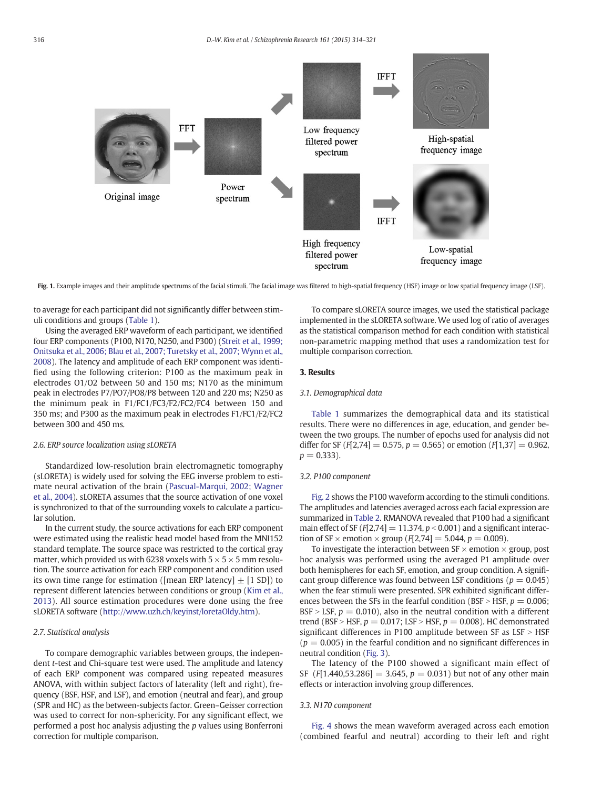<span id="page-2-0"></span>

Fig. 1. Example images and their amplitude spectrums of the facial stimuli. The facial image was filtered to high-spatial frequency (HSF) image or low spatial frequency image (LSF).

to average for each participant did not significantly differ between stimuli conditions and groups ([Table 1](#page-1-0)).

Using the averaged ERP waveform of each participant, we identified four ERP components (P100, N170, N250, and P300) [\(Streit et al., 1999;](#page-7-0) [Onitsuka et al., 2006; Blau et al., 2007; Turetsky et al., 2007; Wynn et al.,](#page-7-0) [2008\)](#page-7-0). The latency and amplitude of each ERP component was identified using the following criterion: P100 as the maximum peak in electrodes O1/O2 between 50 and 150 ms; N170 as the minimum peak in electrodes P7/PO7/PO8/P8 between 120 and 220 ms; N250 as the minimum peak in F1/FC1/FC3/F2/FC2/FC4 between 150 and 350 ms; and P300 as the maximum peak in electrodes F1/FC1/F2/FC2 between 300 and 450 ms.

#### 2.6. ERP source localization using sLORETA

Standardized low-resolution brain electromagnetic tomography (sLORETA) is widely used for solving the EEG inverse problem to estimate neural activation of the brain [\(Pascual-Marqui, 2002; Wagner](#page-7-0) [et al., 2004\)](#page-7-0). sLORETA assumes that the source activation of one voxel is synchronized to that of the surrounding voxels to calculate a particular solution.

In the current study, the source activations for each ERP component were estimated using the realistic head model based from the MNI152 standard template. The source space was restricted to the cortical gray matter, which provided us with 6238 voxels with  $5 \times 5 \times 5$  mm resolution. The source activation for each ERP component and condition used its own time range for estimation ([mean ERP latency]  $\pm$  [1 SD]) to represent different latencies between conditions or group ([Kim et al.,](#page-7-0) [2013](#page-7-0)). All source estimation procedures were done using the free sLORETA software (<http://www.uzh.ch/keyinst/loretaOldy.htm>).

#### 2.7. Statistical analysis

To compare demographic variables between groups, the independent t-test and Chi-square test were used. The amplitude and latency of each ERP component was compared using repeated measures ANOVA, with within subject factors of laterality (left and right), frequency (BSF, HSF, and LSF), and emotion (neutral and fear), and group (SPR and HC) as the between-subjects factor. Green–Geisser correction was used to correct for non-sphericity. For any significant effect, we performed a post hoc analysis adjusting the p values using Bonferroni correction for multiple comparison.

To compare sLORETA source images, we used the statistical package implemented in the sLORETA software. We used log of ratio of averages as the statistical comparison method for each condition with statistical non-parametric mapping method that uses a randomization test for multiple comparison correction.

# 3. Results

# 3.1. Demographical data

[Table 1](#page-1-0) summarizes the demographical data and its statistical results. There were no differences in age, education, and gender between the two groups. The number of epochs used for analysis did not differ for SF ( $F[2,74] = 0.575$ ,  $p = 0.565$ ) or emotion ( $F[1,37] = 0.962$ ,  $p = 0.333$ ).

# 3.2. P100 component

[Fig. 2](#page-3-0) shows the P100 waveform according to the stimuli conditions. The amplitudes and latencies averaged across each facial expression are summarized in [Table 2](#page-3-0). RMANOVA revealed that P100 had a significant main effect of SF ( $F[2,74] = 11.374$ ,  $p < 0.001$ ) and a significant interaction of SF  $\times$  emotion  $\times$  group (F[2,74] = 5.044, p = 0.009).

To investigate the interaction between SF  $\times$  emotion  $\times$  group, post hoc analysis was performed using the averaged P1 amplitude over both hemispheres for each SF, emotion, and group condition. A significant group difference was found between LSF conditions ( $p = 0.045$ ) when the fear stimuli were presented. SPR exhibited significant differences between the SFs in the fearful condition (BSF > HSF,  $p = 0.006$ ; BSF > LSF,  $p = 0.010$ ), also in the neutral condition with a different trend (BSF > HSF,  $p = 0.017$ ; LSF > HSF,  $p = 0.008$ ). HC demonstrated significant differences in P100 amplitude between SF as  $LSF > HSF$  $(p = 0.005)$  in the fearful condition and no significant differences in neutral condition ([Fig. 3](#page-4-0)).

The latency of the P100 showed a significant main effect of SF (F[1,440,53,286] = 3,645,  $p = 0.031$ ) but not of any other main effects or interaction involving group differences.

#### 3.3. N170 component

[Fig. 4](#page-4-0) shows the mean waveform averaged across each emotion (combined fearful and neutral) according to their left and right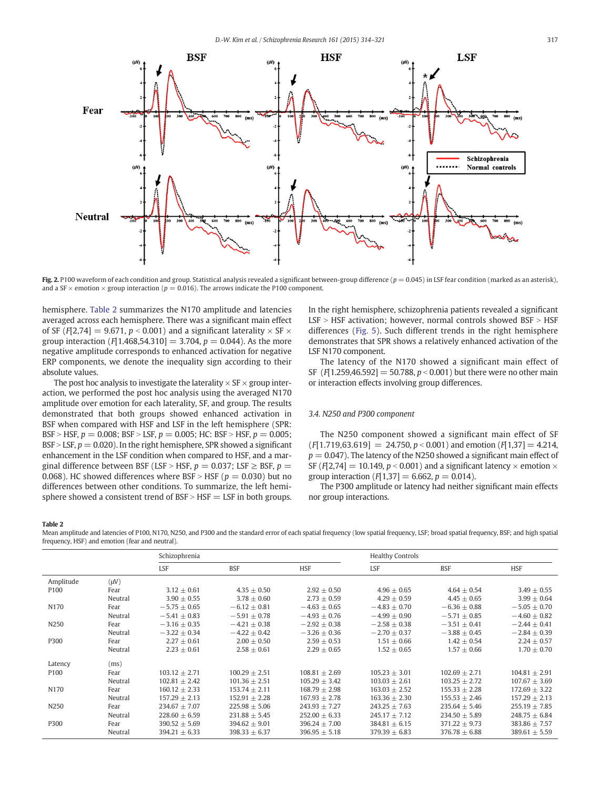<span id="page-3-0"></span>

Fig. 2. P100 waveform of each condition and group. Statistical analysis revealed a significant between-group difference  $(p = 0.045)$  in LSF fear condition (marked as an asterisk), and a SF  $\times$  emotion  $\times$  group interaction ( $p = 0.016$ ). The arrows indicate the P100 component.

hemisphere. Table 2 summarizes the N170 amplitude and latencies averaged across each hemisphere. There was a significant main effect of SF ( $F[2,74] = 9.671$ ,  $p < 0.001$ ) and a significant laterality  $\times$  SF  $\times$ group interaction  $[F[1.468, 54.310] = 3.704, p = 0.044)$ . As the more negative amplitude corresponds to enhanced activation for negative ERP components, we denote the inequality sign according to their absolute values.

The post hoc analysis to investigate the laterality  $\times$  SF  $\times$  group interaction, we performed the post hoc analysis using the averaged N170 amplitude over emotion for each laterality, SF, and group. The results demonstrated that both groups showed enhanced activation in BSF when compared with HSF and LSF in the left hemisphere (SPR: BSF > HSF,  $p = 0.008$ ; BSF > LSF,  $p = 0.005$ ; HC: BSF > HSF,  $p = 0.005$ ; BSF > LSF,  $p = 0.020$ ). In the right hemisphere, SPR showed a significant enhancement in the LSF condition when compared to HSF, and a marginal difference between BSF (LSF > HSF,  $p = 0.037$ ; LSF  $\geq$  BSF,  $p =$ 0.068). HC showed differences where BSF > HSF ( $p = 0.030$ ) but no differences between other conditions. To summarize, the left hemisphere showed a consistent trend of  $BSF > HSF = LSF$  in both groups. In the right hemisphere, schizophrenia patients revealed a significant  $LSF > HSF$  activation; however, normal controls showed  $BSF > HSF$ differences ([Fig. 5\)](#page-5-0). Such different trends in the right hemisphere demonstrates that SPR shows a relatively enhanced activation of the LSF N170 component.

The latency of the N170 showed a significant main effect of SF ( $F[1.259, 46.592] = 50.788$ ,  $p < 0.001$ ) but there were no other main or interaction effects involving group differences.

# 3.4. N250 and P300 component

The N250 component showed a significant main effect of SF  $(F[1.719, 63.619] = 24.750, p < 0.001$  and emotion  $(F[1.37] = 4.214,$  $p = 0.047$ ). The latency of the N250 showed a significant main effect of SF (F[2,74] = 10.149,  $p < 0.001$ ) and a significant latency  $\times$  emotion  $\times$ group interaction  $(F[1,37] = 6.662, p = 0.014)$ .

The P300 amplitude or latency had neither significant main effects nor group interactions.

#### Table 2

Mean amplitude and latencies of P100, N170, N250, and P300 and the standard error of each spatial frequency (low spatial frequency, LSF; broad spatial frequency, BSF; and high spatial frequency, HSF) and emotion (fear and neutral).

|                  |           | Schizophrenia     |                   |                   | <b>Healthy Controls</b> |                  |                   |
|------------------|-----------|-------------------|-------------------|-------------------|-------------------------|------------------|-------------------|
|                  |           | <b>LSF</b>        | <b>BSF</b>        | <b>HSF</b>        | LSF                     | <b>BSF</b>       | <b>HSF</b>        |
| Amplitude        | $(\mu V)$ |                   |                   |                   |                         |                  |                   |
| P <sub>100</sub> | Fear      | $3.12 + 0.61$     | $4.35 + 0.50$     | $2.92 + 0.50$     | $4.96 + 0.65$           | $4.64 + 0.54$    | $3.49 \pm 0.55$   |
|                  | Neutral   | $3.90 + 0.55$     | $3.78 + 0.60$     | $2.73 + 0.59$     | $4.29 + 0.59$           | $4.45 + 0.65$    | $3.99 \pm 0.64$   |
| N <sub>170</sub> | Fear      | $-5.75 + 0.65$    | $-6.12 + 0.81$    | $-4.63 \pm 0.65$  | $-4.83 + 0.70$          | $-6.36 + 0.88$   | $-5.05 \pm 0.70$  |
|                  | Neutral   | $-5.41 + 0.83$    | $-5.91 + 0.78$    | $-4.93 + 0.76$    | $-4.99 + 0.90$          | $-5.71 + 0.85$   | $-4.60 + 0.82$    |
| N250             | Fear      | $-3.16 \pm 0.35$  | $-4.21 \pm 0.38$  | $-2.92 \pm 0.38$  | $-2.58 \pm 0.38$        | $-3.51 \pm 0.41$ | $-2.44 \pm 0.41$  |
|                  | Neutral   | $-3.22 \pm 0.34$  | $-4.22 \pm 0.42$  | $-3.26 + 0.36$    | $-2.70 + 0.37$          | $-3.88 \pm 0.45$ | $-2.84 \pm 0.39$  |
| P300             | Fear      | $2.27 + 0.61$     | $2.00 + 0.50$     | $2.59 + 0.53$     | $1.51 \pm 0.66$         | $1.42 \pm 0.54$  | $2.24 \pm 0.57$   |
|                  | Neutral   | $2.23 \pm 0.61$   | $2.58 \pm 0.61$   | $2.29 \pm 0.65$   | $1.52 + 0.65$           | $1.57 + 0.66$    | $1.70 \pm 0.70$   |
| Latency          | (ms)      |                   |                   |                   |                         |                  |                   |
| P <sub>100</sub> | Fear      | $103.12 + 2.71$   | $100.29 + 2.51$   | $108.81 + 2.69$   | $105.23 + 3.01$         | $102.69 + 2.71$  | $104.81 \pm 2.91$ |
|                  | Neutral   | $102.81 + 2.42$   | $101.36 + 2.51$   | $105.29 + 3.42$   | $103.03 + 2.61$         | $103.25 + 2.72$  | $107.67 + 3.69$   |
| N170             | Fear      | $160.12 \pm 2.33$ | $153.74 + 2.11$   | $168.79 + 2.98$   | $163.03 + 2.52$         | $155.33 + 2.28$  | $172.69 \pm 3.22$ |
|                  | Neutral   | $157.29 \pm 2.13$ | $152.91 \pm 2.28$ | $167.93 + 2.78$   | $163.36 + 2.30$         | $155.53 + 2.46$  | $157.29 \pm 2.13$ |
| N250             | Fear      | $234.67 \pm 7.07$ | $225.98 \pm 5.06$ | $243.93 \pm 7.27$ | $243.25 + 7.63$         | $235.64 + 5.46$  | $255.19 \pm 7.85$ |
|                  | Neutral   | $228.60 \pm 6.59$ | $231.88 + 5.45$   | $252.00 + 6.33$   | $245.17 + 7.12$         | $234.50 + 5.89$  | $248.75 \pm 6.84$ |
| P300             | Fear      | $390.52 \pm 5.69$ | $394.62 \pm 9.01$ | $396.24 \pm 7.00$ | $384.81 \pm 6.15$       | $371.22 + 9.73$  | $383.86 \pm 7.57$ |
|                  | Neutral   | $394.21 + 6.33$   | $398.33 + 6.37$   | $396.95 + 5.18$   | $379.39 + 6.83$         | $376.78 + 6.88$  | $389.61 \pm 5.59$ |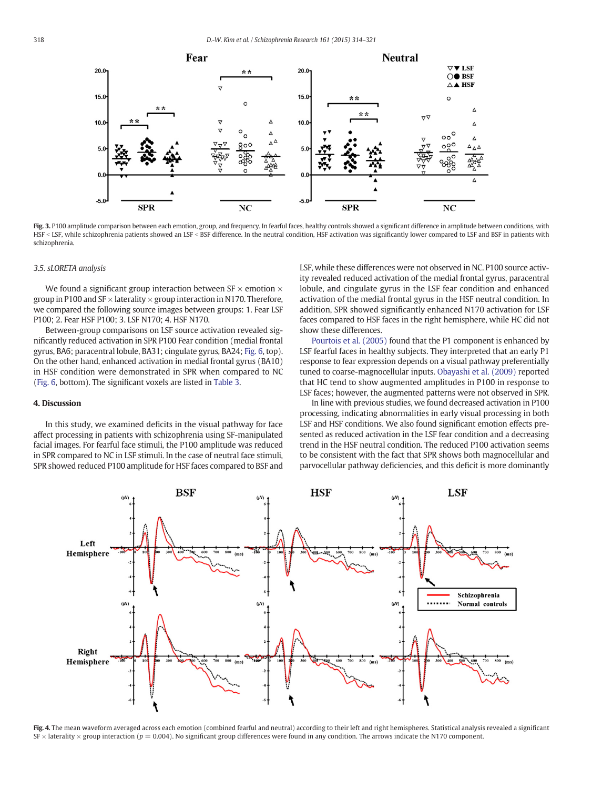<span id="page-4-0"></span>

Fig. 3. P100 amplitude comparison between each emotion, group, and frequency. In fearful faces, healthy controls showed a significant difference in amplitude between conditions, with HSF < LSF, while schizophrenia patients showed an LSF < BSF difference. In the neutral condition, HSF activation was significantly lower compared to LSF and BSF in patients with schizophrenia.

### 3.5. sLORETA analysis

We found a significant group interaction between  $SF \times$  emotion  $\times$ group in P100 and SF  $\times$  laterality  $\times$  group interaction in N170. Therefore, we compared the following source images between groups: 1. Fear LSF P100; 2. Fear HSF P100; 3. LSF N170; 4. HSF N170.

Between-group comparisons on LSF source activation revealed significantly reduced activation in SPR P100 Fear condition (medial frontal gyrus, BA6; paracentral lobule, BA31; cingulate gyrus, BA24; [Fig. 6](#page-5-0), top). On the other hand, enhanced activation in medial frontal gyrus (BA10) in HSF condition were demonstrated in SPR when compared to NC [\(Fig. 6,](#page-5-0) bottom). The significant voxels are listed in [Table 3.](#page-6-0)

#### 4. Discussion

In this study, we examined deficits in the visual pathway for face affect processing in patients with schizophrenia using SF-manipulated facial images. For fearful face stimuli, the P100 amplitude was reduced in SPR compared to NC in LSF stimuli. In the case of neutral face stimuli, SPR showed reduced P100 amplitude for HSF faces compared to BSF and LSF, while these differences were not observed in NC. P100 source activity revealed reduced activation of the medial frontal gyrus, paracentral lobule, and cingulate gyrus in the LSF fear condition and enhanced activation of the medial frontal gyrus in the HSF neutral condition. In addition, SPR showed significantly enhanced N170 activation for LSF faces compared to HSF faces in the right hemisphere, while HC did not show these differences.

[Pourtois et al. \(2005\)](#page-7-0) found that the P1 component is enhanced by LSF fearful faces in healthy subjects. They interpreted that an early P1 response to fear expression depends on a visual pathway preferentially tuned to coarse-magnocellular inputs. [Obayashi et al. \(2009\)](#page-7-0) reported that HC tend to show augmented amplitudes in P100 in response to LSF faces; however, the augmented patterns were not observed in SPR.

In line with previous studies, we found decreased activation in P100 processing, indicating abnormalities in early visual processing in both LSF and HSF conditions. We also found significant emotion effects presented as reduced activation in the LSF fear condition and a decreasing trend in the HSF neutral condition. The reduced P100 activation seems to be consistent with the fact that SPR shows both magnocellular and parvocellular pathway deficiencies, and this deficit is more dominantly



Fig. 4. The mean waveform averaged across each emotion (combined fearful and neutral) according to their left and right hemispheres. Statistical analysis revealed a significant  $SF \times$  laterality  $\times$  group interaction ( $p = 0.004$ ). No significant group differences were found in any condition. The arrows indicate the N170 component.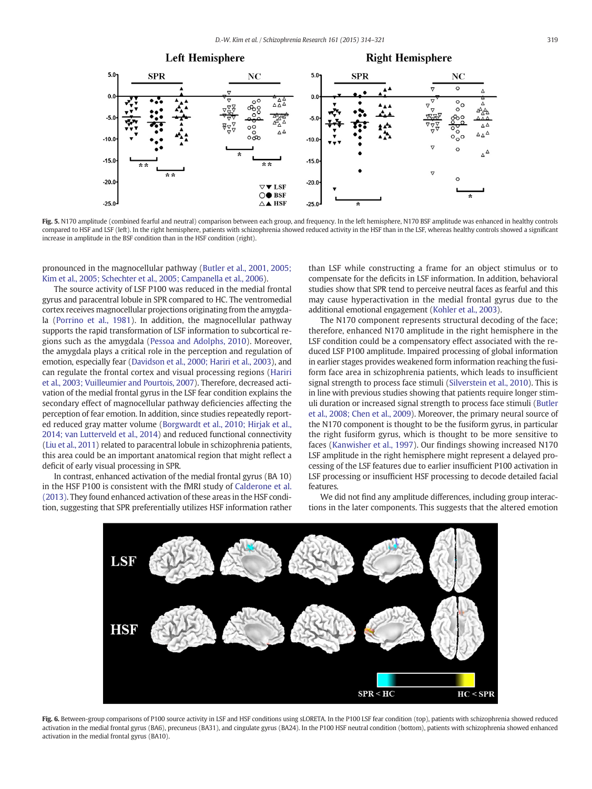<span id="page-5-0"></span>

Fig. 5. N170 amplitude (combined fearful and neutral) comparison between each group, and frequency. In the left hemisphere, N170 BSF amplitude was enhanced in healthy controls compared to HSF and LSF (left). In the right hemisphere, patients with schizophrenia showed reduced activity in the HSF than in the LSF, whereas healthy controls showed a significant increase in amplitude in the BSF condition than in the HSF condition (right).

pronounced in the magnocellular pathway [\(Butler et al., 2001, 2005;](#page-6-0) [Kim et al., 2005; Schechter et al., 2005; Campanella et al., 2006\)](#page-6-0).

The source activity of LSF P100 was reduced in the medial frontal gyrus and paracentral lobule in SPR compared to HC. The ventromedial cortex receives magnocellular projections originating from the amygdala ([Porrino et al., 1981\)](#page-7-0). In addition, the magnocellular pathway supports the rapid transformation of LSF information to subcortical regions such as the amygdala [\(Pessoa and Adolphs, 2010\)](#page-7-0). Moreover, the amygdala plays a critical role in the perception and regulation of emotion, especially fear [\(Davidson et al., 2000; Hariri et al., 2003\)](#page-6-0), and can regulate the frontal cortex and visual processing regions [\(Hariri](#page-6-0) [et al., 2003; Vuilleumier and Pourtois, 2007](#page-6-0)). Therefore, decreased activation of the medial frontal gyrus in the LSF fear condition explains the secondary effect of magnocellular pathway deficiencies affecting the perception of fear emotion. In addition, since studies repeatedly reported reduced gray matter volume ([Borgwardt et al., 2010; Hirjak et al.,](#page-6-0) [2014; van Lutterveld et al., 2014\)](#page-6-0) and reduced functional connectivity [\(Liu et al., 2011](#page-7-0)) related to paracentral lobule in schizophrenia patients, this area could be an important anatomical region that might reflect a deficit of early visual processing in SPR.

In contrast, enhanced activation of the medial frontal gyrus (BA 10) in the HSF P100 is consistent with the fMRI study of [Calderone et al.](#page-6-0) [\(2013\)](#page-6-0). They found enhanced activation of these areas in the HSF condition, suggesting that SPR preferentially utilizes HSF information rather than LSF while constructing a frame for an object stimulus or to compensate for the deficits in LSF information. In addition, behavioral studies show that SPR tend to perceive neutral faces as fearful and this may cause hyperactivation in the medial frontal gyrus due to the additional emotional engagement ([Kohler et al., 2003](#page-7-0)).

The N170 component represents structural decoding of the face; therefore, enhanced N170 amplitude in the right hemisphere in the LSF condition could be a compensatory effect associated with the reduced LSF P100 amplitude. Impaired processing of global information in earlier stages provides weakened form information reaching the fusiform face area in schizophrenia patients, which leads to insufficient signal strength to process face stimuli [\(Silverstein et al., 2010](#page-7-0)). This is in line with previous studies showing that patients require longer stimuli duration or increased signal strength to process face stimuli [\(Butler](#page-6-0) [et al., 2008; Chen et al., 2009](#page-6-0)). Moreover, the primary neural source of the N170 component is thought to be the fusiform gyrus, in particular the right fusiform gyrus, which is thought to be more sensitive to faces [\(Kanwisher et al., 1997\)](#page-6-0). Our findings showing increased N170 LSF amplitude in the right hemisphere might represent a delayed processing of the LSF features due to earlier insufficient P100 activation in LSF processing or insufficient HSF processing to decode detailed facial features.

We did not find any amplitude differences, including group interactions in the later components. This suggests that the altered emotion



Fig. 6. Between-group comparisons of P100 source activity in LSF and HSF conditions using sLORETA. In the P100 LSF fear condition (top), patients with schizophrenia showed reduced activation in the medial frontal gyrus (BA6), precuneus (BA31), and cingulate gyrus (BA24). In the P100 HSF neutral condition (bottom), patients with schizophrenia showed enhanced activation in the medial frontal gyrus (BA10).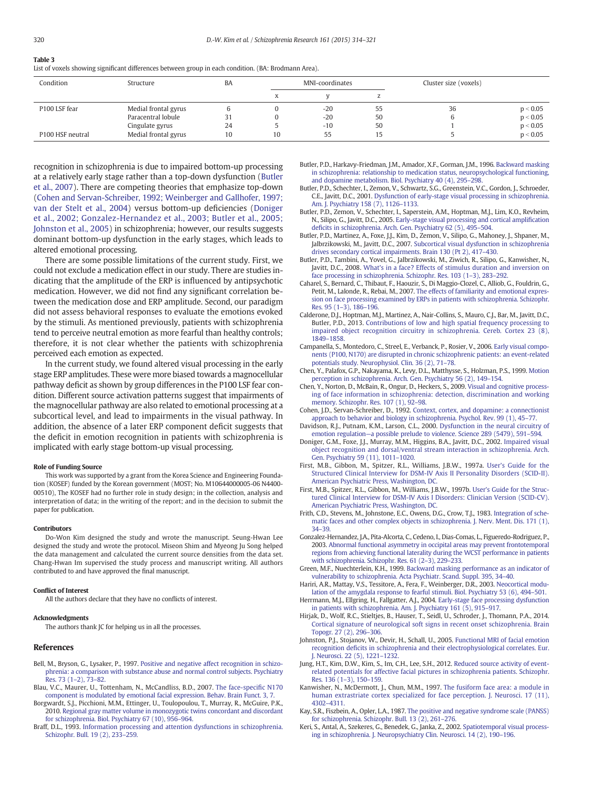# <span id="page-6-0"></span>Table 3

List of voxels showing significant differences between group in each condition. (BA: Brodmann Area).

| Condition                    | Structure            | BA |    | MNI-coordinates |    | Cluster size (voxels) |          |
|------------------------------|----------------------|----|----|-----------------|----|-----------------------|----------|
|                              |                      |    |    |                 |    |                       |          |
| P100 LSF fear                | Medial frontal gyrus | U  |    | $-20$           | 55 | 36                    | p < 0.05 |
|                              | Paracentral lobule   | 31 |    | $-20$           | 50 |                       | p < 0.05 |
|                              | Cingulate gyrus      | 24 |    | $-10$           | 50 |                       | p < 0.05 |
| P <sub>100</sub> HSF neutral | Medial frontal gyrus | 10 | 10 | 55              | 15 |                       | p < 0.05 |

recognition in schizophrenia is due to impaired bottom-up processing at a relatively early stage rather than a top-down dysfunction (Butler et al., 2007). There are competing theories that emphasize top-down (Cohen and Servan-Schreiber, 1992; Weinberger and Gallhofer, 1997; van der Stelt et al., 2004) versus bottom-up deficiencies (Doniger et al., 2002; Gonzalez-Hernandez et al., 2003; Butler et al., 2005; Johnston et al., 2005) in schizophrenia; however, our results suggests dominant bottom-up dysfunction in the early stages, which leads to altered emotional processing.

There are some possible limitations of the current study. First, we could not exclude a medication effect in our study. There are studies indicating that the amplitude of the ERP is influenced by antipsychotic medication. However, we did not find any significant correlation between the medication dose and ERP amplitude. Second, our paradigm did not assess behavioral responses to evaluate the emotions evoked by the stimuli. As mentioned previously, patients with schizophrenia tend to perceive neutral emotion as more fearful than healthy controls; therefore, it is not clear whether the patients with schizophrenia perceived each emotion as expected.

In the current study, we found altered visual processing in the early stage ERP amplitudes. These were more biased towards a magnocellular pathway deficit as shown by group differences in the P100 LSF fear condition. Different source activation patterns suggest that impairments of the magnocellular pathway are also related to emotional processing at a subcortical level, and lead to impairments in the visual pathway. In addition, the absence of a later ERP component deficit suggests that the deficit in emotion recognition in patients with schizophrenia is implicated with early stage bottom-up visual processing.

#### Role of Funding Source

This work was supported by a grant from the Korea Science and Engineering Foundation (KOSEF) funded by the Korean government (MOST; No. M10644000005-06 N4400- 00510), The KOSEF had no further role in study design; in the collection, analysis and interpretation of data; in the writing of the report; and in the decision to submit the paper for publication.

#### Contributors

Do-Won Kim designed the study and wrote the manuscript. Seung-Hwan Lee designed the study and wrote the protocol. Miseon Shim and Myeong Ju Song helped the data management and calculated the current source densities from the data set. Chang-Hwan Im supervised the study process and manuscript writing. All authors contributed to and have approved the final manuscript.

#### Conflict of Interest

All the authors declare that they have no conflicts of interest.

#### Acknowledgments

The authors thank JC for helping us in all the processes.

#### References

- Bell, M., Bryson, G., Lysaker, P., 1997. [Positive and negative affect recognition in schizo](http://refhub.elsevier.com/S0920-9964(14)00730-0/rf0005)[phrenia: a comparison with substance abuse and normal control subjects. Psychiatry](http://refhub.elsevier.com/S0920-9964(14)00730-0/rf0005) [Res. 73 \(1](http://refhub.elsevier.com/S0920-9964(14)00730-0/rf0005)–2), 73–82.
- Blau, V.C., Maurer, U., Tottenham, N., McCandliss, B.D., 2007. [The face-speci](http://refhub.elsevier.com/S0920-9964(14)00730-0/rf0010)fic N170 [component is modulated by emotional facial expression. Behav. Brain Funct. 3, 7](http://refhub.elsevier.com/S0920-9964(14)00730-0/rf0010).
- Borgwardt, S.J., Picchioni, M.M., Ettinger, U., Toulopoulou, T., Murray, R., McGuire, P.K., 2010. [Regional gray matter volume in monozygotic twins concordant and discordant](http://refhub.elsevier.com/S0920-9964(14)00730-0/rf0015) [for schizophrenia. Biol. Psychiatry 67 \(10\), 956](http://refhub.elsevier.com/S0920-9964(14)00730-0/rf0015)–964.
- Braff, D.L., 1993. [Information processing and attention dysfunctions in schizophrenia.](http://refhub.elsevier.com/S0920-9964(14)00730-0/rf0020) [Schizophr. Bull. 19 \(2\), 233](http://refhub.elsevier.com/S0920-9964(14)00730-0/rf0020)–259.

Butler, P.D., Harkavy-Friedman, J.M., Amador, X.F., Gorman, J.M., 1996. [Backward masking](http://refhub.elsevier.com/S0920-9964(14)00730-0/rf0025) [in schizophrenia: relationship to medication status, neuropsychological functioning,](http://refhub.elsevier.com/S0920-9964(14)00730-0/rf0025) [and dopamine metabolism. Biol. Psychiatry 40 \(4\), 295](http://refhub.elsevier.com/S0920-9964(14)00730-0/rf0025)–298.

- Butler, P.D., Schechter, I., Zemon, V., Schwartz, S.G., Greenstein, V.C., Gordon, J., Schroeder, C.E., Javitt, D.C., 2001. [Dysfunction of early-stage visual processing in schizophrenia.](http://refhub.elsevier.com/S0920-9964(14)00730-0/rf0035) [Am. J. Psychiatry 158 \(7\), 1126](http://refhub.elsevier.com/S0920-9964(14)00730-0/rf0035)–1133.
- Butler, P.D., Zemon, V., Schechter, I., Saperstein, A.M., Hoptman, M.J., Lim, K.O., Revheim, N., Silipo, G., Javitt, D.C., 2005. [Early-stage visual processing and cortical ampli](http://refhub.elsevier.com/S0920-9964(14)00730-0/rf0045)fication defi[cits in schizophrenia. Arch. Gen. Psychiatry 62 \(5\), 495](http://refhub.elsevier.com/S0920-9964(14)00730-0/rf0045)–504.
- Butler, P.D., Martinez, A., Foxe, J.J., Kim, D., Zemon, V., Silipo, G., Mahoney, J., Shpaner, M., Jalbrzikowski, M., Javitt, D.C., 2007. [Subcortical visual dysfunction in schizophrenia](http://refhub.elsevier.com/S0920-9964(14)00730-0/rf0030) [drives secondary cortical impairments. Brain 130 \(Pt 2\), 417](http://refhub.elsevier.com/S0920-9964(14)00730-0/rf0030)–430.
- Butler, P.D., Tambini, A., Yovel, G., Jalbrzikowski, M., Ziwich, R., Silipo, G., Kanwisher, N., Javitt, D.C., 2008. [What's in a face? Effects of stimulus duration and inversion on](http://refhub.elsevier.com/S0920-9964(14)00730-0/rf0040) [face processing in schizophrenia. Schizophr. Res. 103 \(1](http://refhub.elsevier.com/S0920-9964(14)00730-0/rf0040)–3), 283–292.
- Caharel, S., Bernard, C., Thibaut, F., Haouzir, S., Di Maggio-Clozel, C., Alliob, G., Fouldrin, G., Petit, M., Lalonde, R., Rebai, M., 2007. [The effects of familiarity and emotional expres](http://refhub.elsevier.com/S0920-9964(14)00730-0/rf0050)[sion on face processing examined by ERPs in patients with schizophrenia. Schizophr.](http://refhub.elsevier.com/S0920-9964(14)00730-0/rf0050) [Res. 95 \(1](http://refhub.elsevier.com/S0920-9964(14)00730-0/rf0050)–3), 186–196.
- Calderone, D.J., Hoptman, M.J., Martinez, A., Nair-Collins, S., Mauro, C.J., Bar, M., Javitt, D.C., Butler, P.D., 2013. [Contributions of low and high spatial frequency processing to](http://refhub.elsevier.com/S0920-9964(14)00730-0/rf0055) [impaired object recognition circuitry in schizophrenia. Cereb. Cortex 23 \(8\),](http://refhub.elsevier.com/S0920-9964(14)00730-0/rf0055) 1849–[1858.](http://refhub.elsevier.com/S0920-9964(14)00730-0/rf0055)
- Campanella, S., Montedoro, C., Streel, E., Verbanck, P., Rosier, V., 2006. [Early visual compo](http://refhub.elsevier.com/S0920-9964(14)00730-0/rf0060)[nents \(P100, N170\) are disrupted in chronic schizophrenic patients: an event-related](http://refhub.elsevier.com/S0920-9964(14)00730-0/rf0060) [potentials study. Neurophysiol. Clin. 36 \(2\), 71](http://refhub.elsevier.com/S0920-9964(14)00730-0/rf0060)–78.
- Chen, Y., Palafox, G.P., Nakayama, K., Levy, D.L., Matthysse, S., Holzman, P.S., 1999. [Motion](http://refhub.elsevier.com/S0920-9964(14)00730-0/rf0070) [perception in schizophrenia. Arch. Gen. Psychiatry 56 \(2\), 149](http://refhub.elsevier.com/S0920-9964(14)00730-0/rf0070)–154.
- Chen, Y., Norton, D., McBain, R., Ongur, D., Heckers, S., 2009. [Visual and cognitive process](http://refhub.elsevier.com/S0920-9964(14)00730-0/rf0065)[ing of face information in schizophrenia: detection, discrimination and working](http://refhub.elsevier.com/S0920-9964(14)00730-0/rf0065) [memory. Schizophr. Res. 107 \(1\), 92](http://refhub.elsevier.com/S0920-9964(14)00730-0/rf0065)-98.
- Cohen, J.D., Servan-Schreiber, D., 1992. [Context, cortex, and dopamine: a connectionist](http://refhub.elsevier.com/S0920-9964(14)00730-0/rf0075) [approach to behavior and biology in schizophrenia. Psychol. Rev. 99 \(1\), 45](http://refhub.elsevier.com/S0920-9964(14)00730-0/rf0075)–77.
- Davidson, R.J., Putnam, K.M., Larson, C.L., 2000. [Dysfunction in the neural circuitry of](http://refhub.elsevier.com/S0920-9964(14)00730-0/rf0080) emotion regulation—[a possible prelude to violence. Science 289 \(5479\), 591](http://refhub.elsevier.com/S0920-9964(14)00730-0/rf0080)–594.
- Doniger, G.M., Foxe, J.J., Murray, M.M., Higgins, B.A., Javitt, D.C., 2002. [Impaired visual](http://refhub.elsevier.com/S0920-9964(14)00730-0/rf0085) [object recognition and dorsal/ventral stream interaction in schizophrenia. Arch.](http://refhub.elsevier.com/S0920-9964(14)00730-0/rf0085) [Gen. Psychiatry 59 \(11\), 1011](http://refhub.elsevier.com/S0920-9964(14)00730-0/rf0085)–1020.
- First, M.B., Gibbon, M., Spitzer, R.L., Williams, J.B.W., 1997a. [User's Guide for the](http://refhub.elsevier.com/S0920-9964(14)00730-0/rf0090) [Structured Clinical Interview for DSM-IV Axis II Personality Disorders \(SCID-II\).](http://refhub.elsevier.com/S0920-9964(14)00730-0/rf0090) [American Psychiatric Press, Washington, DC.](http://refhub.elsevier.com/S0920-9964(14)00730-0/rf0090)
- First, M.B., Spitzer, R.L., Gibbon, M., Williams, J.B.W., 1997b. [User's Guide for the Struc](http://refhub.elsevier.com/S0920-9964(14)00730-0/rf0095)[tured Clinical Interview for DSM-IV Axis I Disorders: Clinician Version \(SCID-CV\).](http://refhub.elsevier.com/S0920-9964(14)00730-0/rf0095) [American Psychiatric Press, Washington, DC.](http://refhub.elsevier.com/S0920-9964(14)00730-0/rf0095)
- Frith, C.D., Stevens, M., Johnstone, E.C., Owens, D.G., Crow, T.J., 1983. [Integration of sche](http://refhub.elsevier.com/S0920-9964(14)00730-0/rf0100)[matic faces and other complex objects in schizophrenia. J. Nerv. Ment. Dis. 171 \(1\),](http://refhub.elsevier.com/S0920-9964(14)00730-0/rf0100) [34](http://refhub.elsevier.com/S0920-9964(14)00730-0/rf0100)–39.
- Gonzalez-Hernandez, J.A., Pita-Alcorta, C., Cedeno, I., Dias-Comas, L., Figueredo-Rodriguez, P., 2003. [Abnormal functional asymmetry in occipital areas may prevent frontotemporal](http://refhub.elsevier.com/S0920-9964(14)00730-0/rf0105) [regions from achieving functional laterality during the WCST performance in patients](http://refhub.elsevier.com/S0920-9964(14)00730-0/rf0105) [with schizophrenia. Schizophr. Res. 61 \(2](http://refhub.elsevier.com/S0920-9964(14)00730-0/rf0105)–3), 229–233.
- Green, M.F., Nuechterlein, K.H., 1999. [Backward masking performance as an indicator of](http://refhub.elsevier.com/S0920-9964(14)00730-0/rf0110) [vulnerability to schizophrenia. Acta Psychiatr. Scand. Suppl. 395, 34](http://refhub.elsevier.com/S0920-9964(14)00730-0/rf0110)–40.
- Hariri, A.R., Mattay, V.S., Tessitore, A., Fera, F., Weinberger, D.R., 2003. [Neocortical modu](http://refhub.elsevier.com/S0920-9964(14)00730-0/rf0115)[lation of the amygdala response to fearful stimuli. Biol. Psychiatry 53 \(6\), 494](http://refhub.elsevier.com/S0920-9964(14)00730-0/rf0115)–501. Herrmann, M.J., Ellgring, H., Fallgatter, A.J., 2004. [Early-stage face processing dysfunction](http://refhub.elsevier.com/S0920-9964(14)00730-0/rf0120)
- [in patients with schizophrenia. Am. J. Psychiatry 161 \(5\), 915](http://refhub.elsevier.com/S0920-9964(14)00730-0/rf0120)–917. Hirjak, D., Wolf, R.C., Stieltjes, B., Hauser, T., Seidl, U., Schroder, J., Thomann, P.A., 2014.
- [Cortical signature of neurological soft signs in recent onset schizophrenia. Brain](http://refhub.elsevier.com/S0920-9964(14)00730-0/rf0125) [Topogr. 27 \(2\), 296](http://refhub.elsevier.com/S0920-9964(14)00730-0/rf0125)–306.
- Johnston, P.J., Stojanov, W., Devir, H., Schall, U., 2005. [Functional MRI of facial emotion](http://refhub.elsevier.com/S0920-9964(14)00730-0/rf0130) recognition defi[cits in schizophrenia and their electrophysiological correlates. Eur.](http://refhub.elsevier.com/S0920-9964(14)00730-0/rf0130) [J. Neurosci. 22 \(5\), 1221](http://refhub.elsevier.com/S0920-9964(14)00730-0/rf0130)–1232.
- Jung, H.T., Kim, D.W., Kim, S., Im, C.H., Lee, S.H., 2012. [Reduced source activity of event](http://refhub.elsevier.com/S0920-9964(14)00730-0/rf0135)[related potentials for affective facial pictures in schizophrenia patients. Schizophr.](http://refhub.elsevier.com/S0920-9964(14)00730-0/rf0135) [Res. 136 \(1](http://refhub.elsevier.com/S0920-9964(14)00730-0/rf0135)–3), 150–159.
- Kanwisher, N., McDermott, J., Chun, M.M., 1997. [The fusiform face area: a module in](http://refhub.elsevier.com/S0920-9964(14)00730-0/rf0140) [human extrastriate cortex specialized for face perception. J. Neurosci. 17 \(11\),](http://refhub.elsevier.com/S0920-9964(14)00730-0/rf0140) 4302–[4311.](http://refhub.elsevier.com/S0920-9964(14)00730-0/rf0140)
- Kay, S.R., Fiszbein, A., Opler, L.A., 1987. [The positive and negative syndrome scale \(PANSS\)](http://refhub.elsevier.com/S0920-9964(14)00730-0/rf0145) [for schizophrenia. Schizophr. Bull. 13 \(2\), 261](http://refhub.elsevier.com/S0920-9964(14)00730-0/rf0145)–276.
- Keri, S., Antal, A., Szekeres, G., Benedek, G., Janka, Z., 2002. [Spatiotemporal visual process](http://refhub.elsevier.com/S0920-9964(14)00730-0/rf0150)[ing in schizophrenia. J. Neuropsychiatry Clin. Neurosci. 14 \(2\), 190](http://refhub.elsevier.com/S0920-9964(14)00730-0/rf0150)–196.